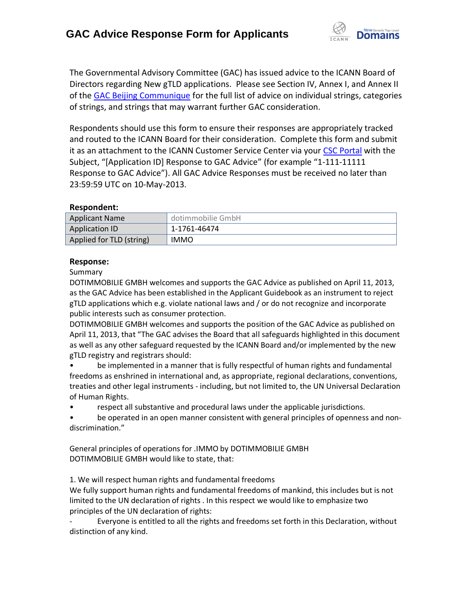

The Governmental Advisory Committee (GAC) has issued advice to the ICANN Board of Directors regarding New gTLD applications. Please see Section IV, Annex I, and Annex II of the [GAC Beijing Communique](http://www.icann.org/en/news/correspondence/gac-to-board-18apr13-en.pdf) for the full list of advice on individual strings, categories of strings, and strings that may warrant further GAC consideration.

Respondents should use this form to ensure their responses are appropriately tracked and routed to the ICANN Board for their consideration. Complete this form and submit it as an attachment to the ICANN Customer Service Center via your CSC [Portal](https://myicann.secure.force.com/) with the Subject, "[Application ID] Response to GAC Advice" (for example "1-111-11111 Response to GAC Advice"). All GAC Advice Responses must be received no later than 23:59:59 UTC on 10-May-2013.

## **Respondent:**

| <b>Applicant Name</b>    | dotimmobilie GmbH |
|--------------------------|-------------------|
| <b>Application ID</b>    | 1-1761-46474      |
| Applied for TLD (string) | <b>IMMO</b>       |

## **Response:**

Summary

DOTIMMOBILIE GMBH welcomes and supports the GAC Advice as published on April 11, 2013, as the GAC Advice has been established in the Applicant Guidebook as an instrument to reject gTLD applications which e.g. violate national laws and / or do not recognize and incorporate public interests such as consumer protection.

DOTIMMOBILIE GMBH welcomes and supports the position of the GAC Advice as published on April 11, 2013, that "The GAC advises the Board that all safeguards highlighted in this document as well as any other safeguard requested by the ICANN Board and/or implemented by the new gTLD registry and registrars should:

• be implemented in a manner that is fully respectful of human rights and fundamental freedoms as enshrined in international and, as appropriate, regional declarations, conventions, treaties and other legal instruments - including, but not limited to, the UN Universal Declaration of Human Rights.

• respect all substantive and procedural laws under the applicable jurisdictions.

be operated in an open manner consistent with general principles of openness and nondiscrimination."

General principles of operations for .IMMO by DOTIMMOBILIE GMBH DOTIMMOBILIE GMBH would like to state, that:

1. We will respect human rights and fundamental freedoms

We fully support human rights and fundamental freedoms of mankind, this includes but is not limited to the UN declaration of rights . In this respect we would like to emphasize two principles of the UN declaration of rights:

Everyone is entitled to all the rights and freedoms set forth in this Declaration, without distinction of any kind.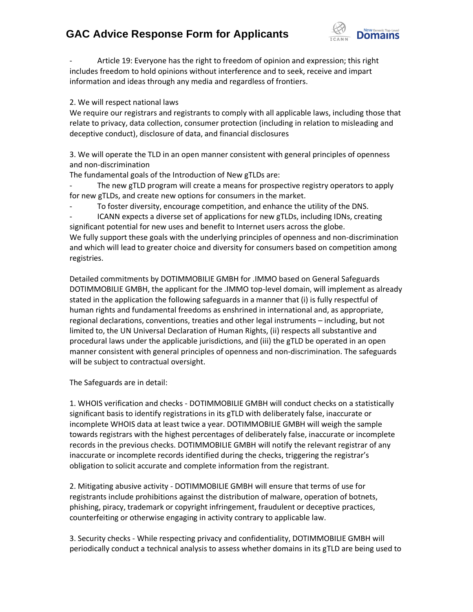## **GAC Advice Response Form for Applicants**



- Article 19: Everyone has the right to freedom of opinion and expression; this right includes freedom to hold opinions without interference and to seek, receive and impart information and ideas through any media and regardless of frontiers.

2. We will respect national laws

We require our registrars and registrants to comply with all applicable laws, including those that relate to privacy, data collection, consumer protection (including in relation to misleading and deceptive conduct), disclosure of data, and financial disclosures

3. We will operate the TLD in an open manner consistent with general principles of openness and non‐discrimination

The fundamental goals of the Introduction of New gTLDs are:

The new gTLD program will create a means for prospective registry operators to apply for new gTLDs, and create new options for consumers in the market.

To foster diversity, encourage competition, and enhance the utility of the DNS.

- ICANN expects a diverse set of applications for new gTLDs, including IDNs, creating significant potential for new uses and benefit to Internet users across the globe. We fully support these goals with the underlying principles of openness and non-discrimination and which will lead to greater choice and diversity for consumers based on competition among registries.

Detailed commitments by DOTIMMOBILIE GMBH for .IMMO based on General Safeguards DOTIMMOBILIE GMBH, the applicant for the .IMMO top-level domain, will implement as already stated in the application the following safeguards in a manner that (i) is fully respectful of human rights and fundamental freedoms as enshrined in international and, as appropriate, regional declarations, conventions, treaties and other legal instruments – including, but not limited to, the UN Universal Declaration of Human Rights, (ii) respects all substantive and procedural laws under the applicable jurisdictions, and (iii) the gTLD be operated in an open manner consistent with general principles of openness and non‐discrimination. The safeguards will be subject to contractual oversight.

The Safeguards are in detail:

1. WHOIS verification and checks - DOTIMMOBILIE GMBH will conduct checks on a statistically significant basis to identify registrations in its gTLD with deliberately false, inaccurate or incomplete WHOIS data at least twice a year. DOTIMMOBILIE GMBH will weigh the sample towards registrars with the highest percentages of deliberately false, inaccurate or incomplete records in the previous checks. DOTIMMOBILIE GMBH will notify the relevant registrar of any inaccurate or incomplete records identified during the checks, triggering the registrar's obligation to solicit accurate and complete information from the registrant.

2. Mitigating abusive activity - DOTIMMOBILIE GMBH will ensure that terms of use for registrants include prohibitions against the distribution of malware, operation of botnets, phishing, piracy, trademark or copyright infringement, fraudulent or deceptive practices, counterfeiting or otherwise engaging in activity contrary to applicable law.

3. Security checks - While respecting privacy and confidentiality, DOTIMMOBILIE GMBH will periodically conduct a technical analysis to assess whether domains in its gTLD are being used to